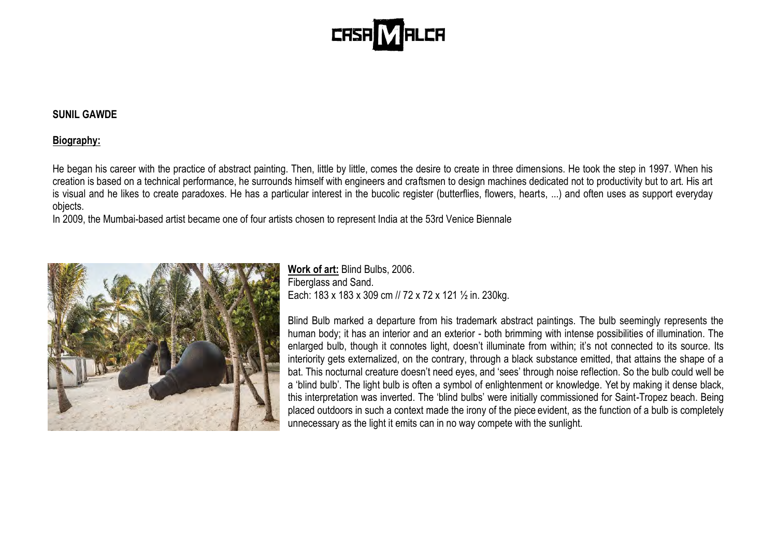

#### **SUNIL GAWDE**

#### **Biography:**

He began his career with the practice of abstract painting. Then, little by little, comes the desire to create in three dimensions. He took the step in 1997. When his creation is based on a technical performance, he surrounds himself with engineers and craftsmen to design machines dedicated not to productivity but to art. His art is visual and he likes to create paradoxes. He has a particular interest in the bucolic register (butterflies, flowers, hearts, ...) and often uses as support everyday objects.

In 2009, the Mumbai-based artist became one of four artists chosen to represent India at the 53rd Venice Biennale



**Work of art:** Blind Bulbs, 2006. Fiberglass and Sand. Each: 183 x 183 x 309 cm // 72 x 72 x 121 ½ in. 230kg.

Blind Bulb marked a departure from his trademark abstract paintings. The bulb seemingly represents the human body; it has an interior and an exterior - both brimming with intense possibilities of illumination. The enlarged bulb, though it connotes light, doesn't illuminate from within; it's not connected to its source. Its interiority gets externalized, on the contrary, through a black substance emitted, that attains the shape of a bat. This nocturnal creature doesn't need eyes, and 'sees' through noise reflection. So the bulb could well be a 'blind bulb'. The light bulb is often a symbol of enlightenment or knowledge. Yet by making it dense black, this interpretation was inverted. The 'blind bulbs' were initially commissioned for Saint-Tropez beach. Being placed outdoors in such a context made the irony of the piece evident, as the function of a bulb is completely unnecessary as the light it emits can in no way compete with the sunlight.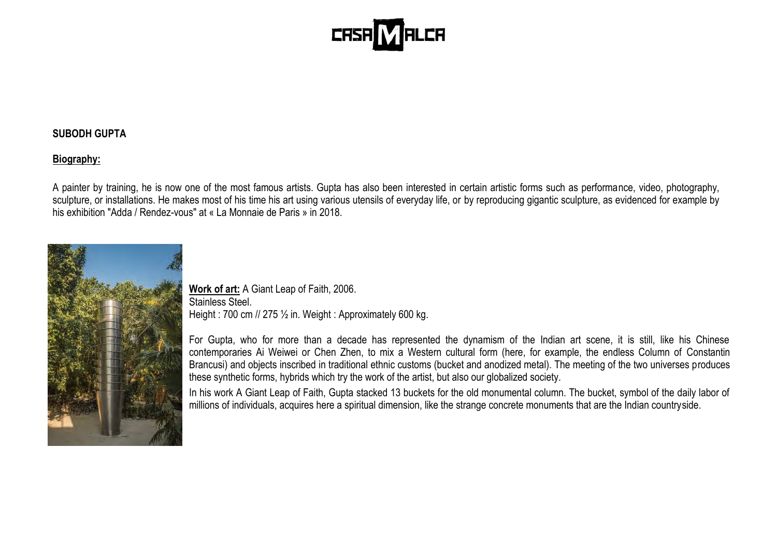

# **SUBODH GUPTA**

## **Biography:**

A painter by training, he is now one of the most famous artists. Gupta has also been interested in certain artistic forms such as performance, video, photography, sculpture, or installations. He makes most of his time his art using various utensils of everyday life, or by reproducing gigantic sculpture, as evidenced for example by his exhibition "Adda / Rendez-vous" at « La Monnaie de Paris » in 2018.



**Work of art:** A Giant Leap of Faith, 2006. Stainless Steel. Height : 700 cm // 275 ½ in. Weight : Approximately 600 kg.

For Gupta, who for more than a decade has represented the dynamism of the Indian art scene, it is still, like his Chinese contemporaries Ai Weiwei or Chen Zhen, to mix a Western cultural form (here, for example, the endless Column of Constantin Brancusi) and objects inscribed in traditional ethnic customs (bucket and anodized metal). The meeting of the two universes produces these synthetic forms, hybrids which try the work of the artist, but also our globalized society.

In his work A Giant Leap of Faith, Gupta stacked 13 buckets for the old monumental column. The bucket, symbol of the daily labor of millions of individuals, acquires here a spiritual dimension, like the strange concrete monuments that are the Indian countryside.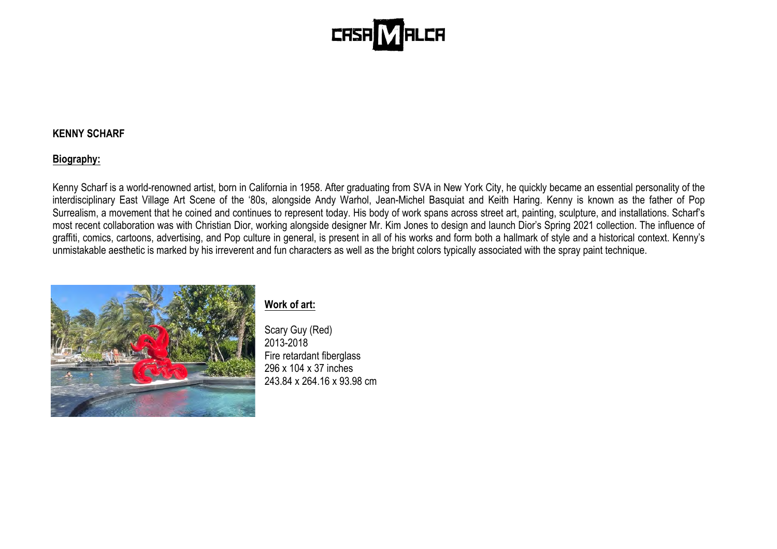

## **KENNY SCHARF**

# **Biography:**

Kenny Scharf is a world-renowned artist, born in California in 1958. After graduating from SVA in New York City, he quickly became an essential personality of the interdisciplinary East Village Art Scene of the '80s, alongside Andy Warhol, Jean-Michel Basquiat and Keith Haring. Kenny is known as the father of Pop Surrealism, a movement that he coined and continues to represent today. His body of work spans across street art, painting, sculpture, and installations. Scharf's most recent collaboration was with Christian Dior, working alongside designer Mr. Kim Jones to design and launch Dior's Spring 2021 collection. The influence of graffiti, comics, cartoons, advertising, and Pop culture in general, is present in all of his works and form both a hallmark of style and a historical context. Kenny's unmistakable aesthetic is marked by his irreverent and fun characters as well as the bright colors typically associated with the spray paint technique.



# **Work of art:**

Scary Guy (Red) 2013-2018 Fire retardant fiberglass 296 x 104 x 37 inches 243.84 x 264.16 x 93.98 cm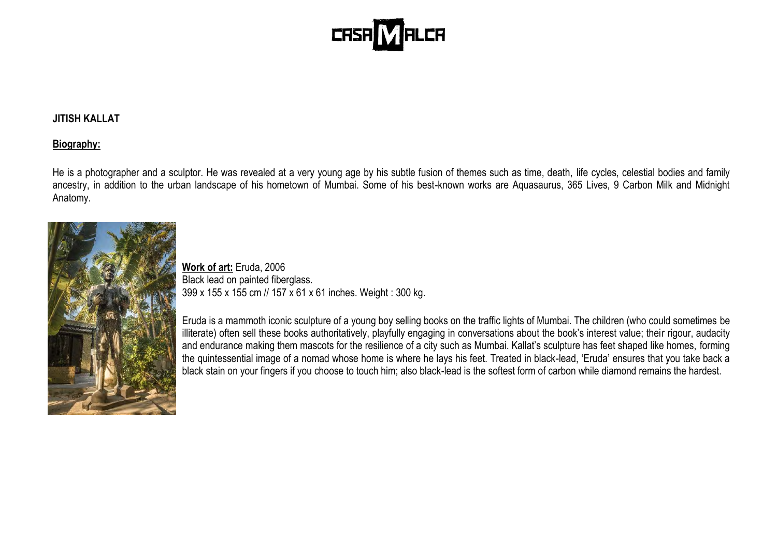

## **JITISH KALLAT**

#### **Biography:**

He is a photographer and a sculptor. He was revealed at a very young age by his subtle fusion of themes such as time, death, life cycles, celestial bodies and family ancestry, in addition to the urban landscape of his hometown of Mumbai. Some of his best-known works are Aquasaurus, 365 Lives, 9 Carbon Milk and Midnight Anatomy.



**Work of art:** Eruda, 2006 Black lead on painted fiberglass. 399 x 155 x 155 cm // 157 x 61 x 61 inches. Weight : 300 kg.

Eruda is a mammoth iconic sculpture of a young boy selling books on the traffic lights of Mumbai. The children (who could sometimes be illiterate) often sell these books authoritatively, playfully engaging in conversations about the book's interest value; their rigour, audacity and endurance making them mascots for the resilience of a city such as Mumbai. Kallat's sculpture has feet shaped like homes, forming the quintessential image of a nomad whose home is where he lays his feet. Treated in black-lead, 'Eruda' ensures that you take back a black stain on your fingers if you choose to touch him; also black-lead is the softest form of carbon while diamond remains the hardest.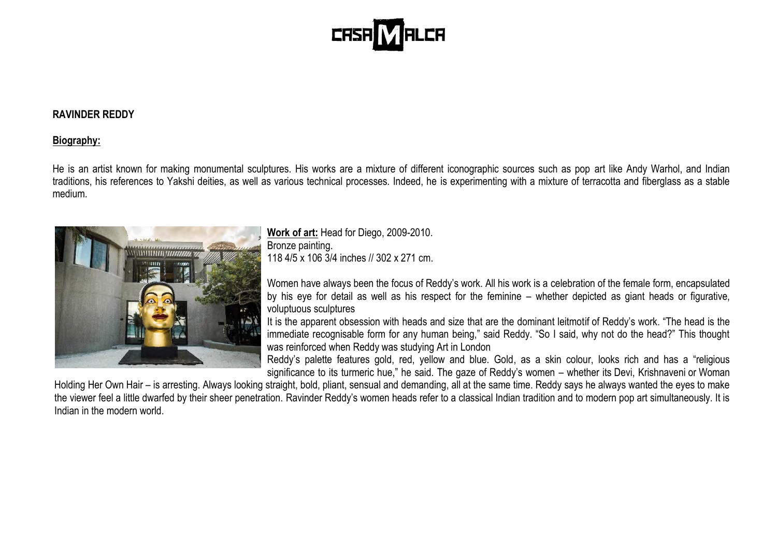

#### **RAVINDER REDDY**

#### **Biography:**

He is an artist known for making monumental sculptures. His works are a mixture of different iconographic sources such as pop art like Andy Warhol, and Indian traditions, his references to Yakshi deities, as well as various technical processes. Indeed, he is experimenting with a mixture of terracotta and fiberglass as a stable medium.



**Work of art:** Head for Diego, 2009-2010. Bronze painting. 118 4/5 x 106 3/4 inches // 302 x 271 cm.

Women have always been the focus of Reddy's work. All his work is a celebration of the female form, encapsulated by his eye for detail as well as his respect for the feminine – whether depicted as giant heads or figurative, voluptuous sculptures

It is the apparent obsession with heads and size that are the dominant leitmotif of Reddy's work. "The head is the immediate recognisable form for any human being," said Reddy. "So I said, why not do the head?" This thought was reinforced when Reddy was studying Art in London

Reddy's palette features gold, red, yellow and blue. Gold, as a skin colour, looks rich and has a "religious significance to its turmeric hue," he said. The gaze of Reddy's women – whether its Devi, Krishnaveni or Woman

Holding Her Own Hair – is arresting. Always looking straight, bold, pliant, sensual and demanding, all at the same time. Reddy says he always wanted the eyes to make the viewer feel a little dwarfed by their sheer penetration. Ravinder Reddy's women heads refer to a classical Indian tradition and to modern pop art simultaneously. It is Indian in the modern world.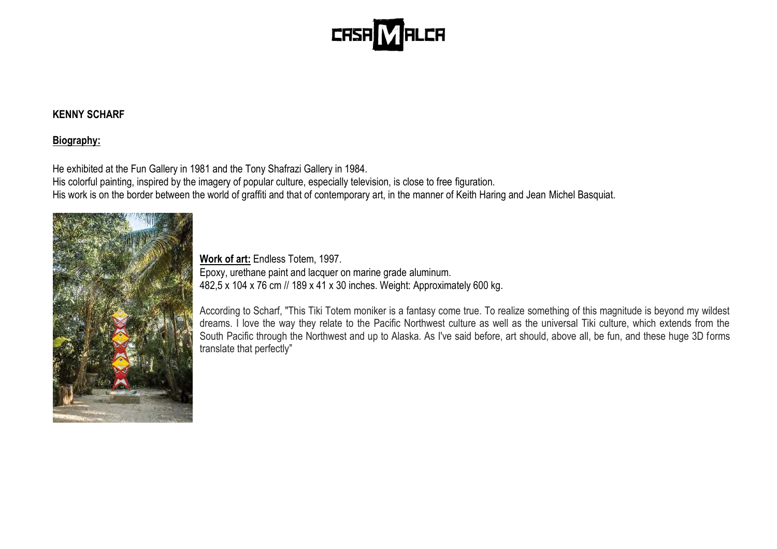

#### **KENNY SCHARF**

## **Biography:**

He exhibited at the Fun Gallery in 1981 and the Tony Shafrazi Gallery in 1984. His colorful painting, inspired by the imagery of popular culture, especially television, is close to free figuration. His work is on the border between the world of graffiti and that of contemporary art, in the manner of Keith Haring and Jean Michel Basquiat.



**Work of art:** Endless Totem, 1997. Epoxy, urethane paint and lacquer on marine grade aluminum. 482,5 x 104 x 76 cm // 189 x 41 x 30 inches. Weight: Approximately 600 kg.

According to Scharf, "This Tiki Totem moniker is a fantasy come true. To realize something of this magnitude is beyond my wildest dreams. I love the way they relate to the Pacific Northwest culture as well as the universal Tiki culture, which extends from the South Pacific through the Northwest and up to Alaska. As I've said before, art should, above all, be fun, and these huge 3D forms translate that perfectly"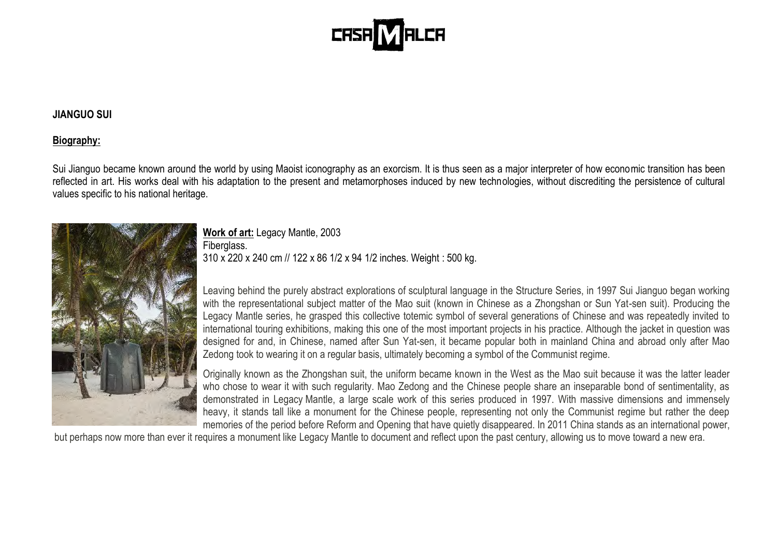

#### **JIANGUO SUI**

#### **Biography:**

Sui Jianguo became known around the world by using Maoist iconography as an exorcism. It is thus seen as a major interpreter of how economic transition has been reflected in art. His works deal with his adaptation to the present and metamorphoses induced by new technologies, without discrediting the persistence of cultural values specific to his national heritage.



**Work of art:** Legacy Mantle, 2003 Fiberglass. 310 x 220 x 240 cm // 122 x 86 1/2 x 94 1/2 inches. Weight : 500 kg.

Leaving behind the purely abstract explorations of sculptural language in the Structure Series, in 1997 Sui Jianguo began working with the representational subject matter of the Mao suit (known in Chinese as a Zhongshan or Sun Yat-sen suit). Producing the Legacy Mantle series, he grasped this collective totemic symbol of several generations of Chinese and was repeatedly invited to international touring exhibitions, making this one of the most important projects in his practice. Although the jacket in question was designed for and, in Chinese, named after Sun Yat-sen, it became popular both in mainland China and abroad only after Mao Zedong took to wearing it on a regular basis, ultimately becoming a symbol of the Communist regime.

Originally known as the Zhongshan suit, the uniform became known in the West as the Mao suit because it was the latter leader who chose to wear it with such regularity. Mao Zedong and the Chinese people share an inseparable bond of sentimentality, as demonstrated in Legacy Mantle, a large scale work of this series produced in 1997. With massive dimensions and immensely heavy, it stands tall like a monument for the Chinese people, representing not only the Communist regime but rather the deep memories of the period before Reform and Opening that have quietly disappeared. In 2011 China stands as an international power,

but perhaps now more than ever it requires a monument like Legacy Mantle to document and reflect upon the past century, allowing us to move toward a new era.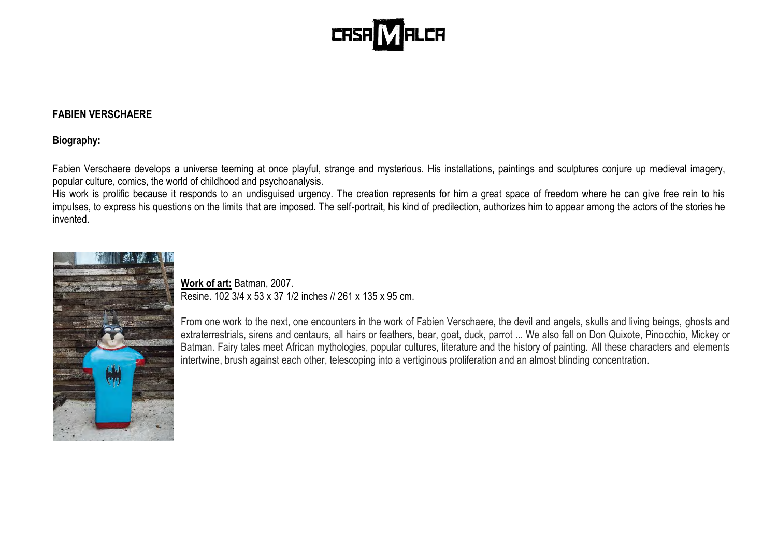

#### **FABIEN VERSCHAERE**

#### **Biography:**

Fabien Verschaere develops a universe teeming at once playful, strange and mysterious. His installations, paintings and sculptures conjure up medieval imagery, popular culture, comics, the world of childhood and psychoanalysis.

His work is prolific because it responds to an undisguised urgency. The creation represents for him a great space of freedom where he can give free rein to his impulses, to express his questions on the limits that are imposed. The self-portrait, his kind of predilection, authorizes him to appear among the actors of the stories he invented.



**Work of art:** Batman, 2007. Resine. 102 3/4 x 53 x 37 1/2 inches // 261 x 135 x 95 cm.

From one work to the next, one encounters in the work of Fabien Verschaere, the devil and angels, skulls and living beings, ghosts and extraterrestrials, sirens and centaurs, all hairs or feathers, bear, goat, duck, parrot ... We also fall on Don Quixote, Pinocchio, Mickey or Batman. Fairy tales meet African mythologies, popular cultures, literature and the history of painting. All these characters and elements intertwine, brush against each other, telescoping into a vertiginous proliferation and an almost blinding concentration.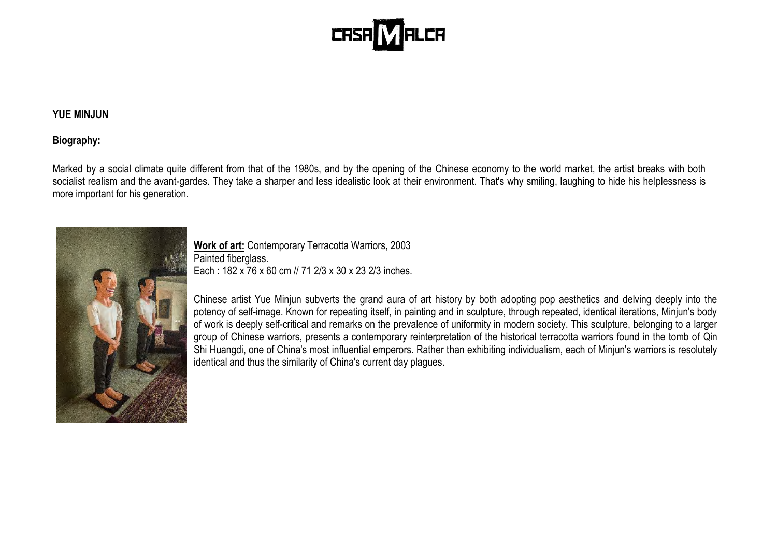

#### **YUE MINJUN**

#### **Biography:**

Marked by a social climate quite different from that of the 1980s, and by the opening of the Chinese economy to the world market, the artist breaks with both socialist realism and the avant-gardes. They take a sharper and less idealistic look at their environment. That's why smiling, laughing to hide his helplessness is more important for his generation.



**Work of art:** Contemporary Terracotta Warriors, 2003 Painted fiberglass. Each : 182 x 76 x 60 cm // 71 2/3 x 30 x 23 2/3 inches.

Chinese artist Yue Minjun subverts the grand aura of art history by both adopting pop aesthetics and delving deeply into the potency of self-image. Known for repeating itself, in painting and in sculpture, through repeated, identical iterations, Minjun's body of work is deeply self-critical and remarks on the prevalence of uniformity in modern society. This sculpture, belonging to a larger group of Chinese warriors, presents a contemporary reinterpretation of the historical terracotta warriors found in the tomb of Qin Shi Huangdi, one of China's most influential emperors. Rather than exhibiting individualism, each of Minjun's warriors is resolutely identical and thus the similarity of China's current day plagues.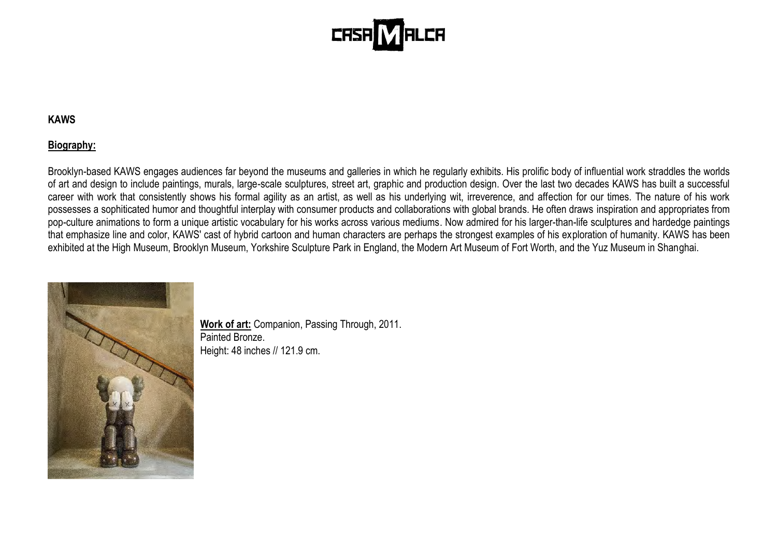

## **KAWS**

## **Biography:**

Brooklyn-based KAWS engages audiences far beyond the museums and galleries in which he regularly exhibits. His prolific body of influential work straddles the worlds of art and design to include paintings, murals, large-scale sculptures, street art, graphic and production design. Over the last two decades KAWS has built a successful career with work that consistently shows his formal agility as an artist, as well as his underlying wit, irreverence, and affection for our times. The nature of his work possesses a sophiticated humor and thoughtful interplay with consumer products and collaborations with global brands. He often draws inspiration and appropriates from pop-culture animations to form a unique artistic vocabulary for his works across various mediums. Now admired for his larger-than-life sculptures and hardedge paintings that emphasize line and color, KAWS' cast of hybrid cartoon and human characters are perhaps the strongest examples of his exploration of humanity. KAWS has been exhibited at the High Museum, Brooklyn Museum, Yorkshire Sculpture Park in England, the Modern Art Museum of Fort Worth, and the Yuz Museum in Shanghai.



**Work of art:** Companion, Passing Through, 2011. Painted Bronze. Height: 48 inches // 121.9 cm.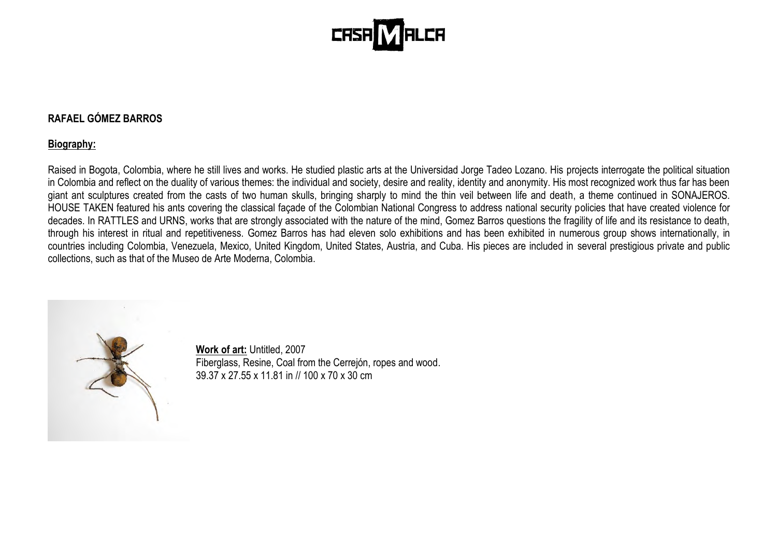

# **RAFAEL GÓMEZ BARROS**

## **Biography:**

Raised in Bogota, Colombia, where he still lives and works. He studied plastic arts at the Universidad Jorge Tadeo Lozano. His projects interrogate the political situation in Colombia and reflect on the duality of various themes: the individual and society, desire and reality, identity and anonymity. His most recognized work thus far has been giant ant sculptures created from the casts of two human skulls, bringing sharply to mind the thin veil between life and death, a theme continued in SONAJEROS. HOUSE TAKEN featured his ants covering the classical façade of the Colombian National Congress to address national security policies that have created violence for decades. In RATTLES and URNS, works that are strongly associated with the nature of the mind, Gomez Barros questions the fragility of life and its resistance to death, through his interest in ritual and repetitiveness. Gomez Barros has had eleven solo exhibitions and has been exhibited in numerous group shows internationally, in countries including Colombia, Venezuela, Mexico, United Kingdom, United States, Austria, and Cuba. His pieces are included in several prestigious private and public collections, such as that of the Museo de Arte Moderna, Colombia.



**Work of art:** Untitled, 2007 Fiberglass, Resine, Coal from the Cerrejón, ropes and wood. 39.37 x 27.55 x 11.81 in // 100 x 70 x 30 cm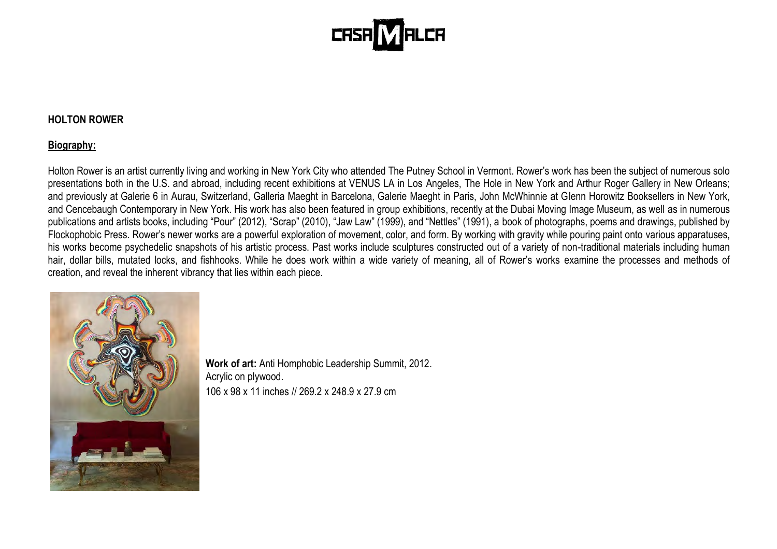

#### **HOLTON ROWER**

## **Biography:**

Holton Rower is an artist currently living and working in New York City who attended The Putney School in Vermont. Rower's work has been the subject of numerous solo presentations both in the U.S. and abroad, including recent exhibitions at VENUS LA in Los Angeles, The Hole in New York and Arthur Roger Gallery in New Orleans; and previously at Galerie 6 in Aurau, Switzerland, Galleria Maeght in Barcelona, Galerie Maeght in Paris, John McWhinnie at Glenn Horowitz Booksellers in New York, and Cencebaugh Contemporary in New York. His work has also been featured in group exhibitions, recently at the Dubai Moving Image Museum, as well as in numerous publications and artists books, including "Pour" (2012), "Scrap" (2010), "Jaw Law" (1999), and "Nettles" (1991), a book of photographs, poems and drawings, published by Flockophobic Press. Rower's newer works are a powerful exploration of movement, color, and form. By working with gravity while pouring paint onto various apparatuses, his works become psychedelic snapshots of his artistic process. Past works include sculptures constructed out of a variety of non-traditional materials including human hair, dollar bills, mutated locks, and fishhooks. While he does work within a wide variety of meaning, all of Rower's works examine the processes and methods of creation, and reveal the inherent vibrancy that lies within each piece.



**Work of art:** Anti Homphobic Leadership Summit, 2012. Acrylic on plywood. 106 x 98 x 11 inches // 269.2 x 248.9 x 27.9 cm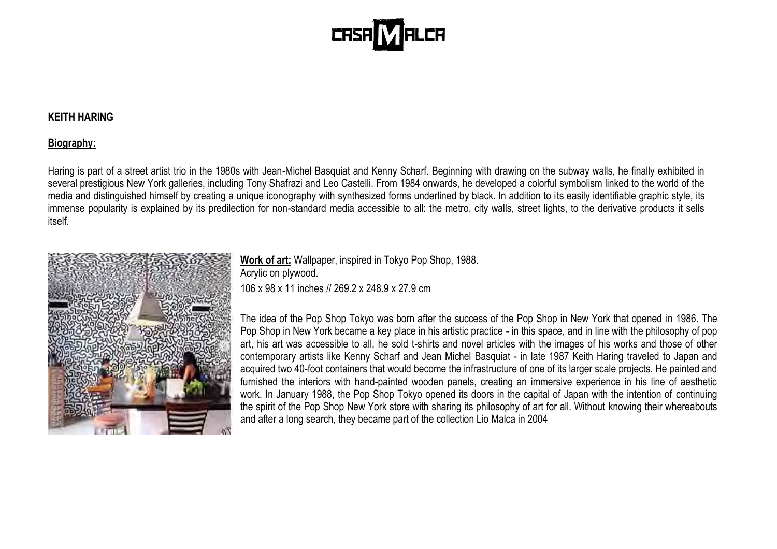

#### **KEITH HARING**

#### **Biography:**

Haring is part of a street artist trio in the 1980s with Jean-Michel Basquiat and Kenny Scharf. Beginning with drawing on the subway walls, he finally exhibited in several prestigious New York galleries, including Tony Shafrazi and Leo Castelli. From 1984 onwards, he developed a colorful symbolism linked to the world of the media and distinguished himself by creating a unique iconography with synthesized forms underlined by black. In addition to its easily identifiable graphic style, its immense popularity is explained by its predilection for non-standard media accessible to all: the metro, city walls, street lights, to the derivative products it sells itself.



**Work of art:** Wallpaper, inspired in Tokyo Pop Shop, 1988. Acrylic on plywood. 106 x 98 x 11 inches // 269.2 x 248.9 x 27.9 cm

The idea of the Pop Shop Tokyo was born after the success of the Pop Shop in New York that opened in 1986. The Pop Shop in New York became a key place in his artistic practice - in this space, and in line with the philosophy of pop art, his art was accessible to all, he sold t-shirts and novel articles with the images of his works and those of other contemporary artists like Kenny Scharf and Jean Michel Basquiat - in late 1987 Keith Haring traveled to Japan and acquired two 40-foot containers that would become the infrastructure of one of its larger scale projects. He painted and furnished the interiors with hand-painted wooden panels, creating an immersive experience in his line of aesthetic work. In January 1988, the Pop Shop Tokyo opened its doors in the capital of Japan with the intention of continuing the spirit of the Pop Shop New York store with sharing its philosophy of art for all. Without knowing their whereabouts and after a long search, they became part of the collection Lio Malca in 2004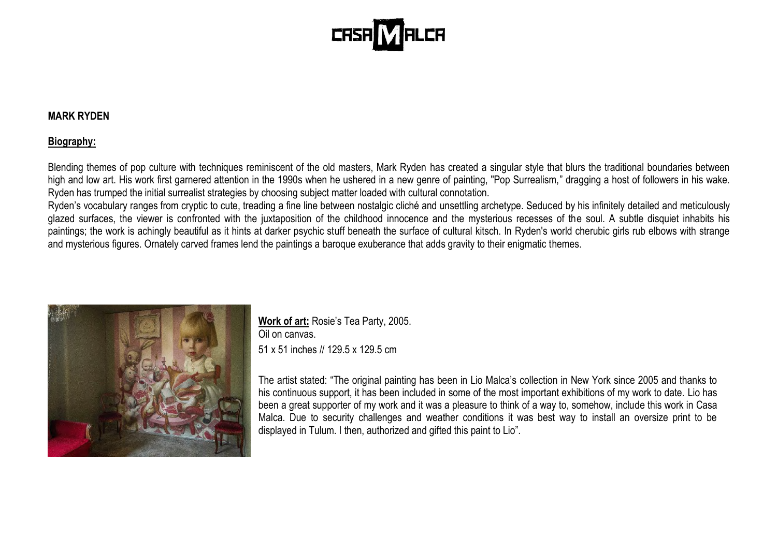

#### **MARK RYDEN**

## **Biography:**

Blending themes of pop culture with techniques reminiscent of the old masters, Mark Ryden has created a singular style that blurs the traditional boundaries between high and low art. His work first garnered attention in the 1990s when he ushered in a new genre of painting, "Pop Surrealism," dragging a host of followers in his wake. Ryden has trumped the initial surrealist strategies by choosing subject matter loaded with cultural connotation.

Ryden's vocabulary ranges from cryptic to cute, treading a fine line between nostalgic cliché and unsettling archetype. Seduced by his infinitely detailed and meticulously glazed surfaces, the viewer is confronted with the juxtaposition of the childhood innocence and the mysterious recesses of the soul. A subtle disquiet inhabits his paintings; the work is achingly beautiful as it hints at darker psychic stuff beneath the surface of cultural kitsch. In Ryden's world cherubic girls rub elbows with strange and mysterious figures. Ornately carved frames lend the paintings a baroque exuberance that adds gravity to their enigmatic themes.



**Work of art:** Rosie's Tea Party, 2005. Oil on canvas. 51 x 51 inches // 129.5 x 129.5 cm

The artist stated: "The original painting has been in Lio Malca's collection in New York since 2005 and thanks to his continuous support, it has been included in some of the most important exhibitions of my work to date. Lio has been a great supporter of my work and it was a pleasure to think of a way to, somehow, include this work in Casa Malca. Due to security challenges and weather conditions it was best way to install an oversize print to be displayed in Tulum. I then, authorized and gifted this paint to Lio".